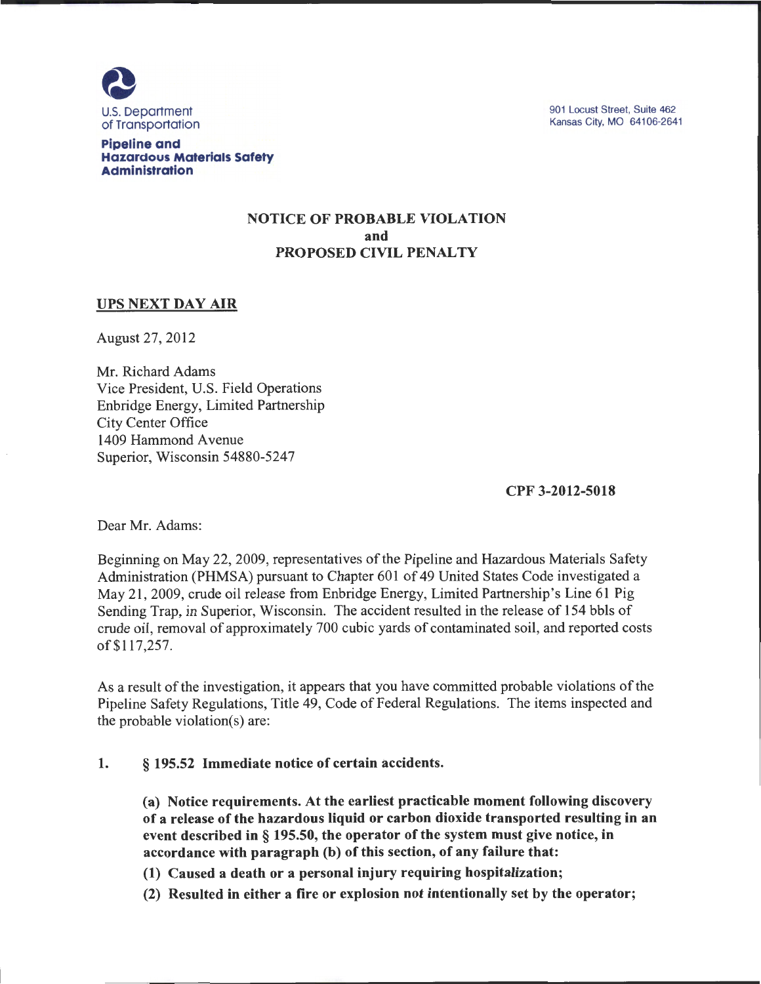

901 Locust Street, Suite 462 Kansas City, MO 64106-2641

Pipeline and Hazardous Materials Safety Administration

### NOTICE OF PROBABLE VIOLATION and PROPOSED CIVIL PENALTY

### UPS NEXT DAY AIR

August 27, 2012

Mr. Richard Adams Vice President, U.S. Field Operations Enbridge Energy, Limited Partnership City Center Office 1409 Hammond A venue Superior, Wisconsin 54880-5247

CPF 3-2012-5018

Dear Mr. Adams:

Beginning on May 22, 2009, representatives of the Pipeline and Hazardous Materials Safety Administration (PHMSA) pursuant to Chapter 601 of 49 United States Code investigated a May 21, 2009, crude oil release from Enbridge Energy, Limited Partnership's Line 61 Pig Sending Trap, in Superior, Wisconsin. The accident resulted in the release of 154 bbls of crude oil, removal of approximately 700 cubic yards of contaminated soil, and reported costs of\$117,257.

As a result of the investigation, it appears that you have committed probable violations of the Pipeline Safety Regulations, Title 49, Code of Federal Regulations. The items inspected and the probable violation(s) are:

#### 1. § 195.52 Immediate notice of certain accidents.

(a) Notice requirements. At the earliest practicable moment following discovery of a release of the hazardous liquid or carbon dioxide transported resulting in an event described in § 195.50, the operator of the system must give notice, in accordance with paragraph (b) of this section, of any failure that:

(1) Caused a death or a personal injury requiring hospitalization;

(2) Resulted in either a fire or explosion not intentionally set by the operator;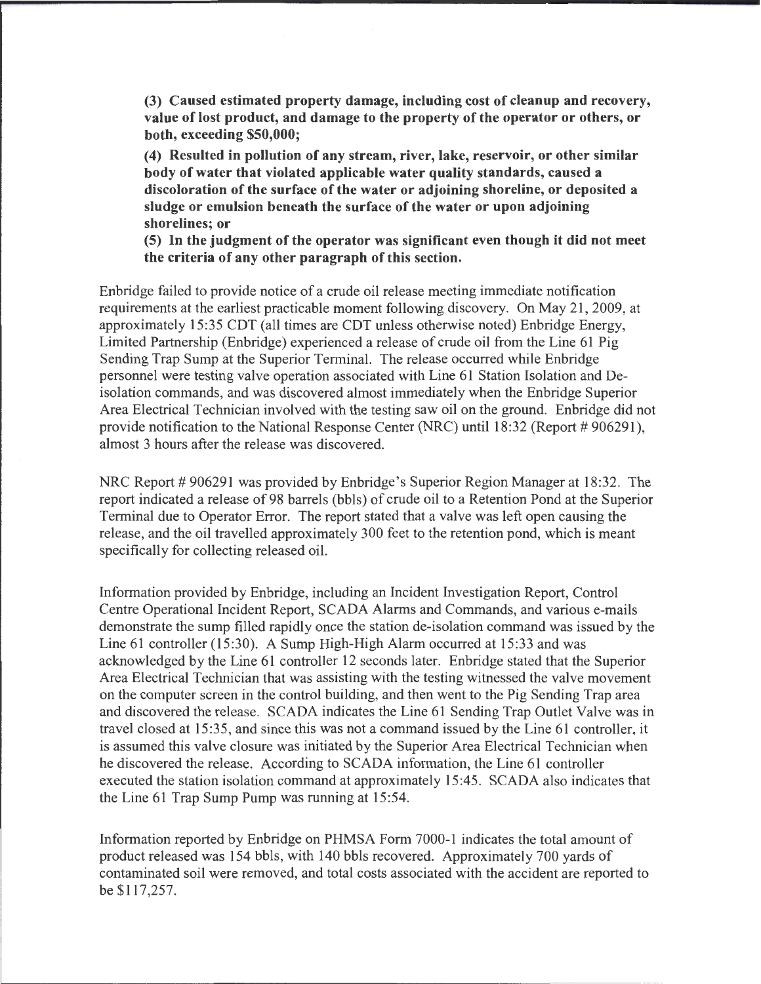**(3) Caused estimated property damage, including cost of cleanup and recovery, value of lost product, and damage to the property of the operator or others, or both, exceeding \$50,000;** 

**(4) Resulted in pollution of any stream, river, lake, reservoir, or other similar body of water that violated applicable water quality standards, caused a discoloration of the surface of the water or adjoining shoreline, or deposited a sludge or emulsion beneath the surface of the water or upon adjoining shorelines; or** 

**(5) In the judgment of the operator was significant even though it did not meet the criteria of any other paragraph of this section.** 

Enbridge failed to provide notice of a crude oil release meeting immediate notification requirements at the earliest practicable moment following discovery. On May 21, 2009, at approximately 15:35 CDT (all times are CDT unless otherwise noted) Enbridge Energy, Limited Partnership (Enbridge) experienced a release of crude oil from the Line 61 Pig Sending Trap Sump at the Superior Terminal. The release occurred while Enbridge personnel were testing valve operation associated with Line 61 Station Isolation and Deisolation commands, and was discovered almost immediately when the Enbridge Superior Area Electrical Technician involved with the testing saw oil on the ground. Enbridge did not provide notification to the National Response Center (NRC) until  $18:32$  (Report # 906291), almost 3 hours after the release was discovered.

NRC Report # 906291 was provided by Enbridge's Superior Region Manager at 18:32. The report indicated a release of 98 barrels (bbls) of crude oil to a Retention Pond at the Superior Terminal due to Operator Error. The report stated that a valve was left open causing the release, and the oil travelled approximately 300 feet to the retention pond, which is meant specifically for collecting released oil.

Information provided by Enbridge, including an Incident Investigation Report, Control Centre Operational Incident Report, SCADA Alarms and Commands, and various e-mails demonstrate the sump filled rapidly once the station de-isolation command was issued by the Line  $61$  controller  $(15:30)$ . A Sump High-High Alarm occurred at  $15:33$  and was acknowledged by the Line 61 controller 12 seconds later. Enbridge stated that the Superior Area Electrical Technician that was assisting with the testing witnessed the valve movement on the computer screen in the control building, and then went to the Pig Sending Trap area and discovered the release. SCADA indicates the Line 61 Sending Trap Outlet Valve was in travel closed at 15:35, and since this was not a command issued by the Line 61 controller, it is assumed this valve closure was initiated by the Superior Area Electrical Technician when he discovered the release. According to SCADA information, the Line 61 controller executed the station isolation command at approximately 15:45. SCADA also indicates that the Line 61 Trap Sump Pump was running at 15:54.

Information reported by Enbridge on PHMSA Form 7000-1 indicates the total amount of product released was 154 bbls, with 140 bbls recovered. Approximately 700 yards of contaminated soil were removed, and total costs associated with the accident are reported to be \$117,257.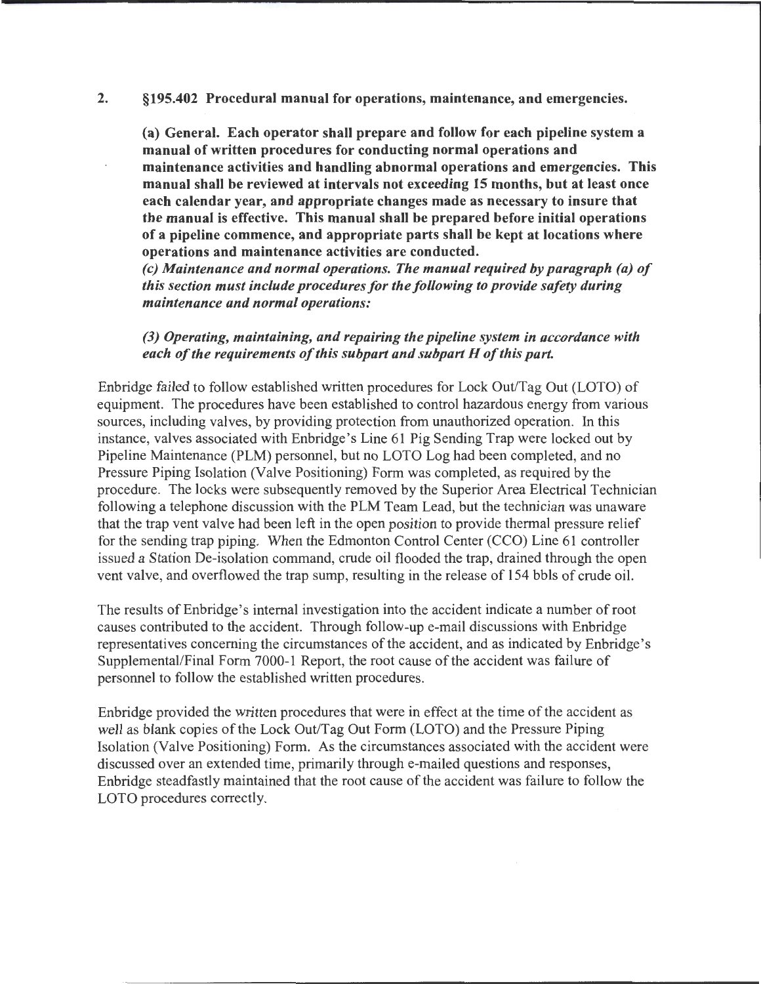#### 2. §195.402 Procedural manual for operations, maintenance, and emergencies.

(a) General. Each operator shall prepare and follow for each pipeline system a manual of written procedures for conducting normal operations and maintenance activities and handling abnormal operations and emergencies. This manual shall be reviewed at intervals not exceeding 15 months, but at least once each calendar year, and appropriate changes made as necessary to insure that the manual is effective. This manual shall be prepared before initial operations of a pipeline commence, and appropriate parts shall be kept at locations where operations and maintenance activities are conducted.

*(c) Maintenance and normal operations. The manual required by paragraph (a) of this section must include procedures for the following to provide safety during maintenance and normal operations:* 

#### *(3) Operating, maintaining, and repairing the pipeline system in accordance with each of the requirements of this subpart and subpart H of this part.*

Enbridge failed to follow established written procedures for Lock Out/Tag Out (LOTO) of equipment. The procedures have been established to control hazardous energy from various sources, including valves, by providing protection from unauthorized operation. In this instance, valves associated with Enbridge's Line 61 Pig Sending Trap were locked out by Pipeline Maintenance (PLM) personnel, but no LOTO Log had been completed, and no Pressure Piping Isolation (Valve Positioning) Form was completed, as required by the procedure. The locks were subsequently removed by the Superior Area Electrical Technician following a telephone discussion with the PLM Team Lead, but the technician was unaware that the trap vent valve had been left in the open position to provide thermal pressure relief for the sending trap piping. When the Edmonton Control Center (CCO) Line 61 controller issued a Station De-isolation command, crude oil flooded the trap, drained through the open vent valve, and overflowed the trap sump, resulting in the release of 154 bbls of crude oil.

The results ofEnbridge's internal investigation into the accident indicate a number of root causes contributed to the accident. Through follow-up e-mail discussions with Enbridge representatives concerning the circumstances of the accident, and as indicated by Enbridge's Supplemental/Final Form 7000-1 Report, the root cause of the accident was failure of personnel to follow the established written procedures.

Enbridge provided the written procedures that were in effect at the time of the accident as well as blank copies of the Lock Out/Tag Out Form (LOTO) and the Pressure Piping Isolation (Valve Positioning) Form. As the circumstances associated with the accident were discussed over an extended time, primarily through e-mailed questions and responses, Enbridge steadfastly maintained that the root cause of the accident was failure to follow the LOTO procedures correctly.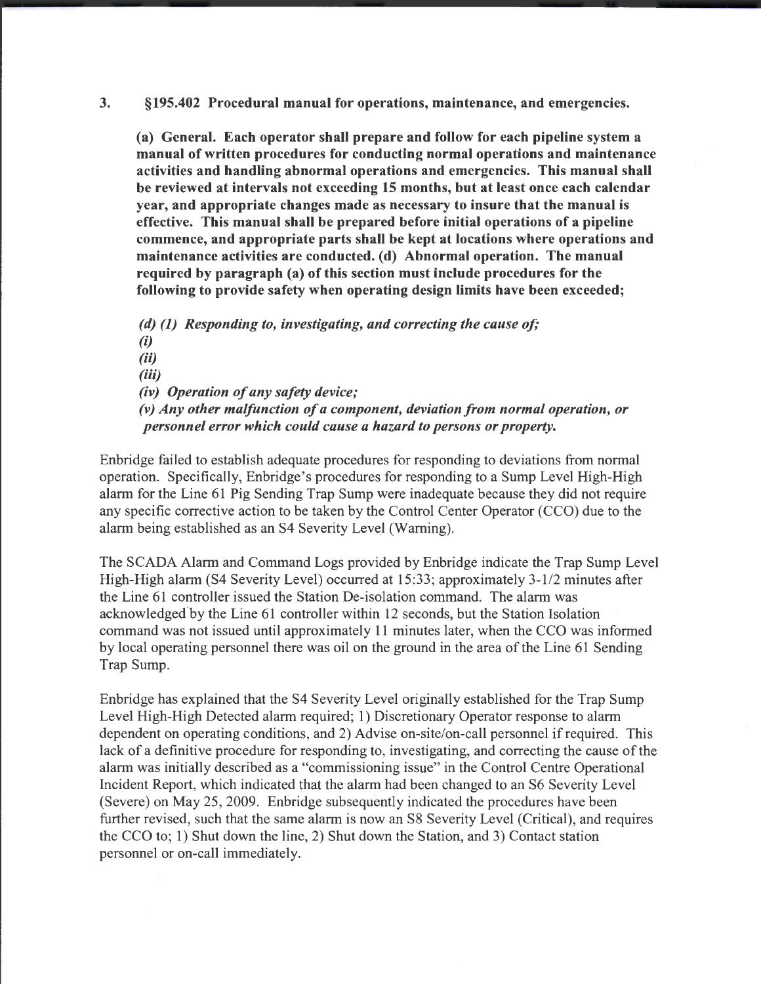3. §195.402 Procedural manual for operations, maintenance, and emergencies.

(a) General. Each operator shall prepare and follow for each pipeline system a manual of written procedures for conducting normal operations and maintenance activities and handling abnormal operations and emergencies. This manual shall be reviewed at intervals not exceeding 15 months, but at least once each calendar year, and appropriate changes made as necessary to insure that the manual is effective. This manual shall be prepared before initial operations of a pipeline commence, and appropriate parts shall be kept at locations where operations and maintenance activities are conducted. (d) Abnormal operation. The manual required by paragraph (a) of this section must include procedures for the following to provide safety when operating design limits have been exceeded;

*(d) (1) Responding to, investigating, and correcting the cause of;*  (i) (ii) (iii) *(iv) Operation of any safety device; (v) Any other malfunction of a component, deviation from normal operation, or personnel error which could cause a hazard to persons or property.* 

Enbridge failed to establish adequate procedures for responding to deviations from normal operation. Specifically, Enbridge's procedures for responding to a Sump Level High-High alarm for the Line 61 Pig Sending Trap Sump were inadequate because they did not require any specific corrective action to be taken by the Control Center Operator (CCO) due to the alarm being established as an S4 Severity Level (Warning).

The SCADA Alarm and Command Logs provided by Enbridge indicate the Trap Sump Level High-High alarm (S4 Severity Level) occurred at 15:33; approximately 3-1/2 minutes after the Line 61 controller issued the Station De-isolation command. The alarm was acknowledged.by the Line 61 controller within 12 seconds, but the Station Isolation command was not issued until approximately 11 minutes later, when the CCO was informed by local operating personnel there was oil on the ground in the area of the Line 61 Sending Trap Sump.

Enbridge has explained that the S4 Severity Level originally established for the Trap Sump Level High-High Detected alarm required; 1) Discretionary Operator response to alarm dependent on operating conditions, and 2) Advise on-site/on-call personnel if required. This lack of a definitive procedure for responding to, investigating, and correcting the cause of the alarm was initially described as a "commissioning issue" in the Control Centre Operational Incident Report, which indicated that the alarm had been changed to an S6 Severity Level (Severe) on May 25, 2009. Enbridge subsequently indicated the procedures have been further revised, such that the same alarm is now an S8 Severity Level (Critical), and requires the CCO to; 1) Shut down the line, 2) Shut down the Station, and 3) Contact station personnel or on-call immediately.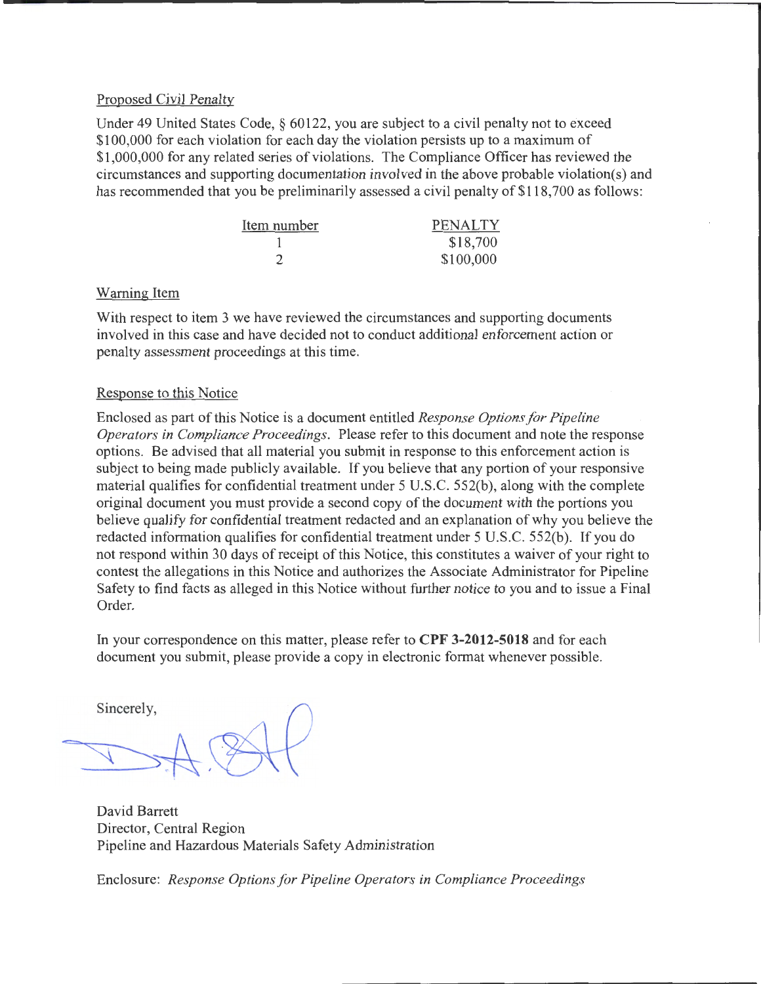# Proposed Civil Penalty

Under 49 United States Code, § 60122, you are subject to a civil penalty not to exceed \$100,000 for each violation for each day the violation persists up to a maximum of \$1,000,000 for any related series of violations. The Compliance Officer has reviewed the circumstances and supporting documentation involved in the above probable violation(s) and has recommended that you be preliminarily assessed a civil penalty of \$118,700 as follows:

| Item number | <b>PENALTY</b> |
|-------------|----------------|
|             | \$18,700       |
|             | \$100,000      |

### Warning Item

With respect to item 3 we have reviewed the circumstances and supporting documents involved in this case and have decided not to conduct additional enforcement action or penalty assessment proceedings at this time.

### Response to this Notice

Enclosed as part of this Notice is a document entitled *Response Options for Pipeline Operators in Compliance Proceedings.* Please refer to this document and note the response options. Be advised that all material you submit in response to this enforcement action is subject to being made publicly available. If you believe that any portion of your responsive material qualifies for confidential treatment under  $5 \text{ U.S.C. } 552(b)$ , along with the complete original document you must provide a second copy of the document with the portions you believe qualify for confidential treatment redacted and an explanation of why you believe the redacted information qualifies for confidential treatment under 5 U.S.C. 552(b). If you do not respond within 30 days of receipt of this Notice, this constitutes a waiver of your right to contest the allegations in this Notice and authorizes the Associate Administrator for Pipeline Safety to find facts as alleged in this Notice without further notice to you and to issue a Final Order.

In your correspondence on this matter, please refer to **CPF 3-2012-5018** and for each document you submit, please provide a copy in electronic format whenever possible.

Sincerely,

the contract of the contract of the contract of the contract of the contract of the contract of the contract of the contract of the contract of the contract of the contract of the contract of the contract of the contract o

David Barrett Director, Central Region Pipeline and Hazardous Materials Safety Administration

Enclosure: *Response Options for Pipeline Operators in Compliance Proceedings*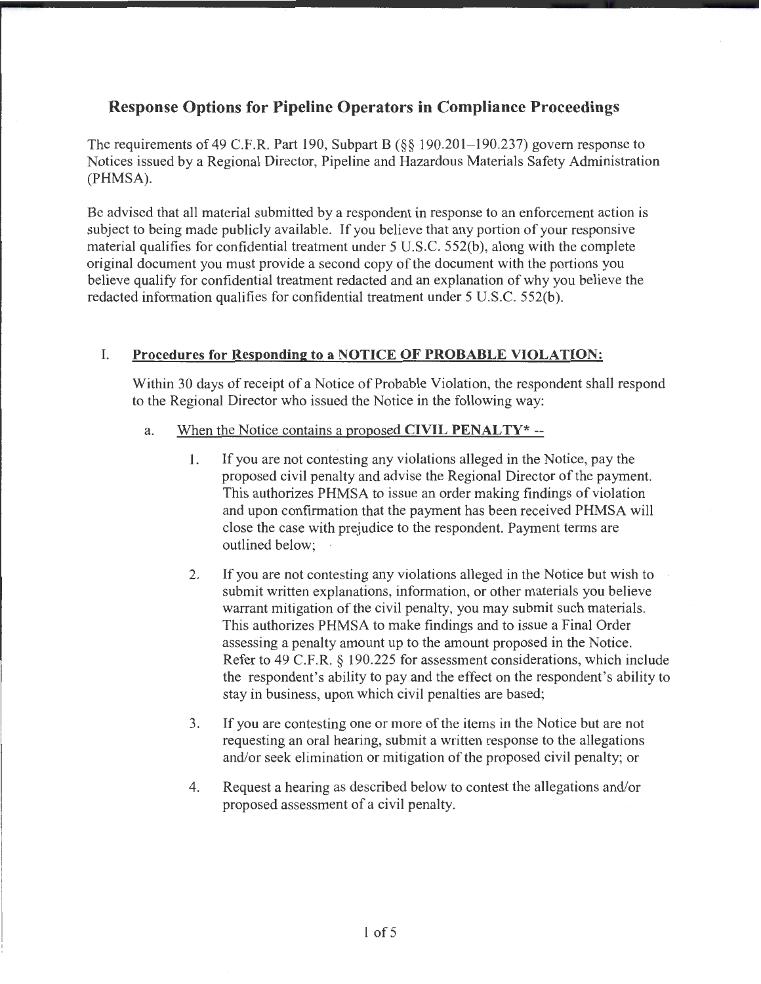# **Response Options for Pipeline Operators in Compliance Proceedings**

The requirements of 49 C.F.R. Part 190, Subpart B (§§ 190.201-190.237) govern response to Notices issued by a Regional Director, Pipeline and Hazardous Materials Safety Administration (PHMSA).

Be advised that all material submitted by a respondent in response to an enforcement action is subject to being made publicly available. If you believe that any portion of your responsive material qualifies for confidential treatment under 5 U.S.C. 552(b), along with the complete original document you must provide a second copy of the document with the portions you believe qualify for confidential treatment redacted and an explanation of why you believe the redacted information qualifies for confidential treatment under 5 U.S.C. 552(b).

# I. **Procedures for Responding to a NOTICE OF PROBABLE VIOLATION:**

Within 30 days of receipt of a Notice of Probable Violation, the respondent shall respond to the Regional Director who issued the Notice in the following way:

- a. When the Notice contains a proposed **CIVIL PENALTY\*** --
	- 1. If you are not contesting any violations alleged in the Notice, pay the proposed civil penalty and advise the Regional Director of the payment. This authorizes PHMSA to issue an order making findings of violation and upon confirmation that the payment has been received PHMSA will close the case with prejudice to the respondent. Payment terms are outlined below;
	- 2. If you are not contesting any violations alleged in the Notice but wish to submit written explanations, information, or other materials you believe warrant mitigation of the civil penalty, you may submit such materials. This authorizes PHMSA to make findings and to issue a Final Order assessing a penalty amount up to the amount proposed in the Notice. Refer to 49 C.F.R. § 190.225 for assessment considerations, which include the respondent's ability to pay and the effect on the respondent's ability to stay in business, upon which civil penalties are based;
	- 3. If you are contesting one or more of the items in the Notice but are not requesting an oral hearing, submit a written response to the allegations and/or seek elimination or mitigation of the proposed civil penalty; or
	- 4. Request a hearing as described below to contest the allegations and/or proposed assessment of a civil penalty.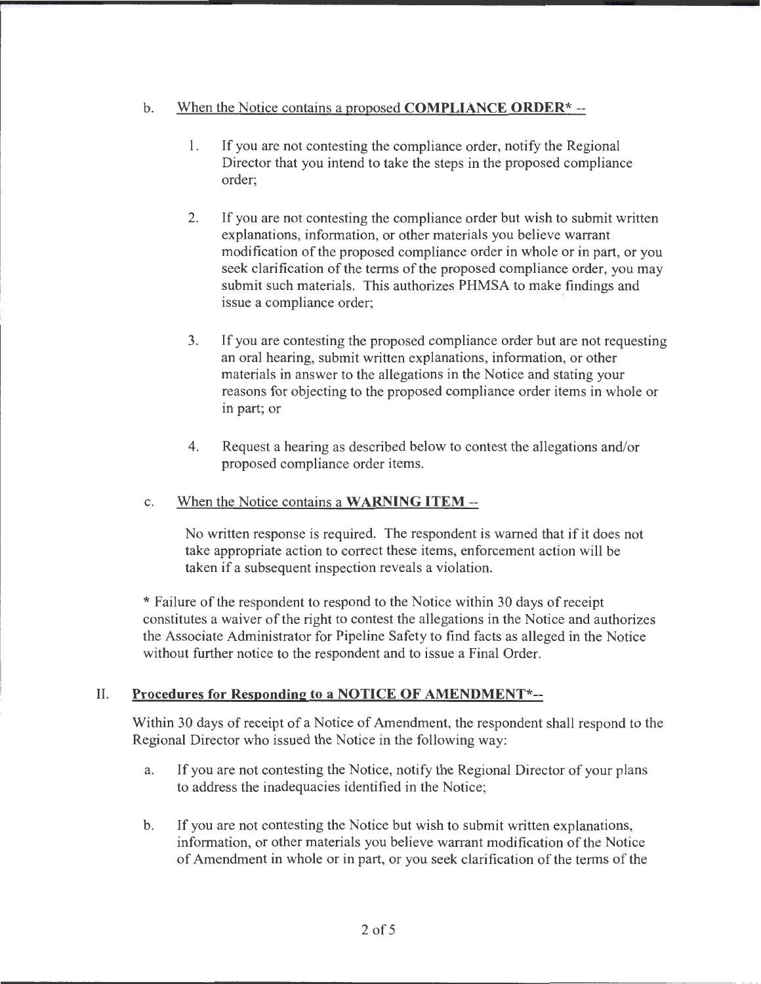# b. When the Notice contains a proposed **COMPLIANCE ORDER\*--**

- 1. If you are not contesting the compliance order, notify the Regional Director that you intend to take the steps in the proposed compliance order;
- 2. If you are not contesting the compliance order but wish to submit written explanations, information, or other materials you believe warrant modification of the proposed compliance order in whole or in part, or you seek clarification of the terms of the proposed compliance order, you may submit such materials. This authorizes PHMSA to make findings and issue a compliance order;
- 3. If you are contesting the proposed compliance order but are not requesting an oral hearing, submit written explanations, information, or other materials in answer to the allegations in the Notice and stating your reasons for objecting to the proposed compliance order items in whole or in part; or
- 4. Request a hearing as described below to contest the allegations and/or proposed compliance order items.

#### c. When the Notice contains a **WARNING ITEM--**

No written response is required. The respondent is warned that if it does not take appropriate action to correct these items, enforcement action will be taken if a subsequent inspection reveals a violation.

\* Failure of the respondent to respond to the Notice within 30 days of receipt constitutes a waiver of the right to contest the allegations in the Notice and authorizes the Associate Administrator for Pipeline Safety to find facts as alleged in the Notice without further notice to the respondent and to issue a Final Order.

# II. **Procedures for Responding to a NOTICE OF AMENDMENT\*--**

Within 30 days of receipt of a Notice of Amendment, the respondent shall respond to the Regional Director who issued the Notice in the following way:

- a. If you are not contesting the Notice, notify the Regional Director of your plans to address the inadequacies identified in the Notice;
- b. If you are not contesting the Notice but wish to submit written explanations, information, or other materials you believe warrant modification of the Notice of Amendment in whole or in part, or you seek clarification of the terms of the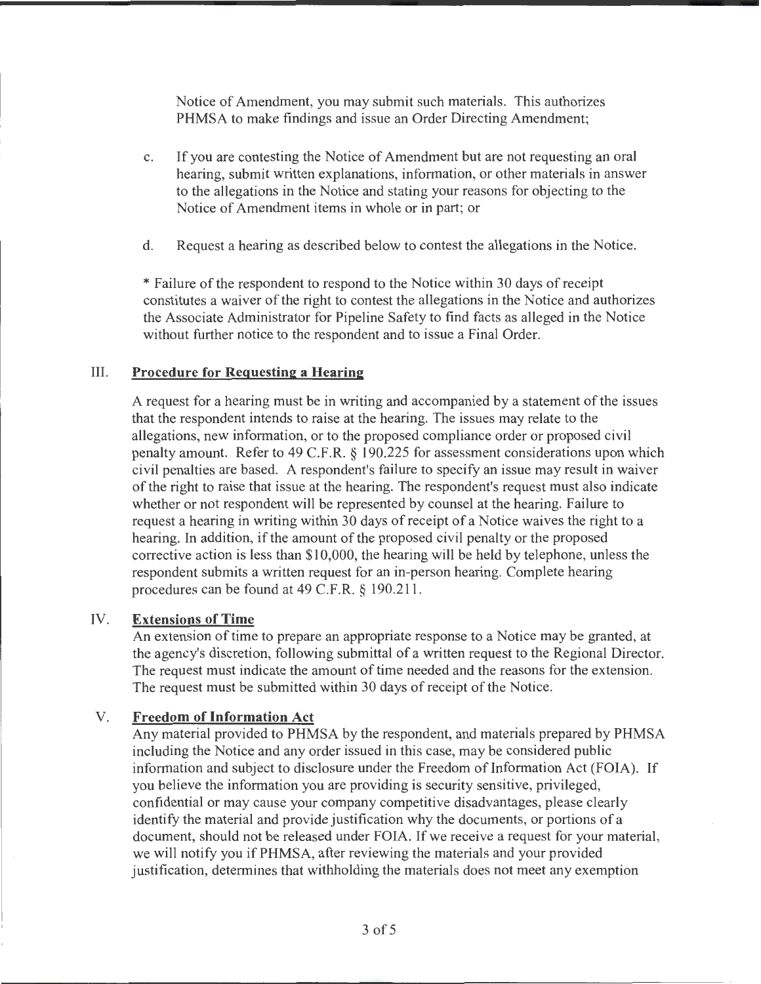Notice of Amendment, you may submit such materials. This authorizes PHMSA to make findings and issue an Order Directing Amendment;

- c. If you are contesting the Notice of Amendment but are not requesting an oral hearing, submit written explanations, information, or other materials in answer to the allegations in the Notice and stating your reasons for objecting to the Notice of Amendment items in whole or in part; or
- d. Request a hearing as described below to contest the allegations in the Notice.

\* Failure of the respondent to respond to the Notice within 30 days of receipt constitutes a waiver of the right to contest the allegations in the Notice and authorizes the Associate Administrator for Pipeline Safety to find facts as alleged in the Notice without further notice to the respondent and to issue a Final Order.

#### III. **Procedure for Requesting a Hearing**

A request for a hearing must be in writing and accompanied by a statement of the issues that the respondent intends to raise at the hearing. The issues may relate to the allegations, new information, or to the proposed compliance order or proposed civil penalty amount. Refer to 49 C.F.R. § 190.225 for assessment considerations upon which civil penalties are based. A respondent's failure to specify an issue may result in waiver of the right to raise that issue at the hearing. The respondent's request must also indicate whether or not respondent will be represented by counsel at the hearing. Failure to request a hearing in writing within 30 days of receipt of a Notice waives the right to a hearing. In addition, if the amount of the proposed civil penalty or the proposed corrective action is less than \$10,000, the hearing will be held by telephone, unless the respondent submits a written request for an in-person hearing. Complete hearing procedures can be found at 49 C.F.R. § 190.211.

#### IV. **Extensions of Time**

An extension of time to prepare an appropriate response to a Notice may be granted, at the agency's discretion, following submittal of a written request to the Regional Director. The request must indicate the amount of time needed and the reasons for the extension. The request must be submitted within 30 days of receipt of the Notice.

### V. **Freedom of Information Act**

Any material provided to PHMSA by the respondent, and materials prepared by PHMSA including the Notice and any order issued in this case, may be considered public information and subject to disclosure under the Freedom of Information Act (FOIA). If you believe the information you are providing is security sensitive, privileged, confidential or may cause your company competitive disadvantages, please clearly identify the material and provide justification why the documents, or portions of a document, should not be released under FOIA. If we receive a request for your material, we will notify you if PHMSA, after reviewing the materials and your provided justification, determines that withholding the materials does not meet any exemption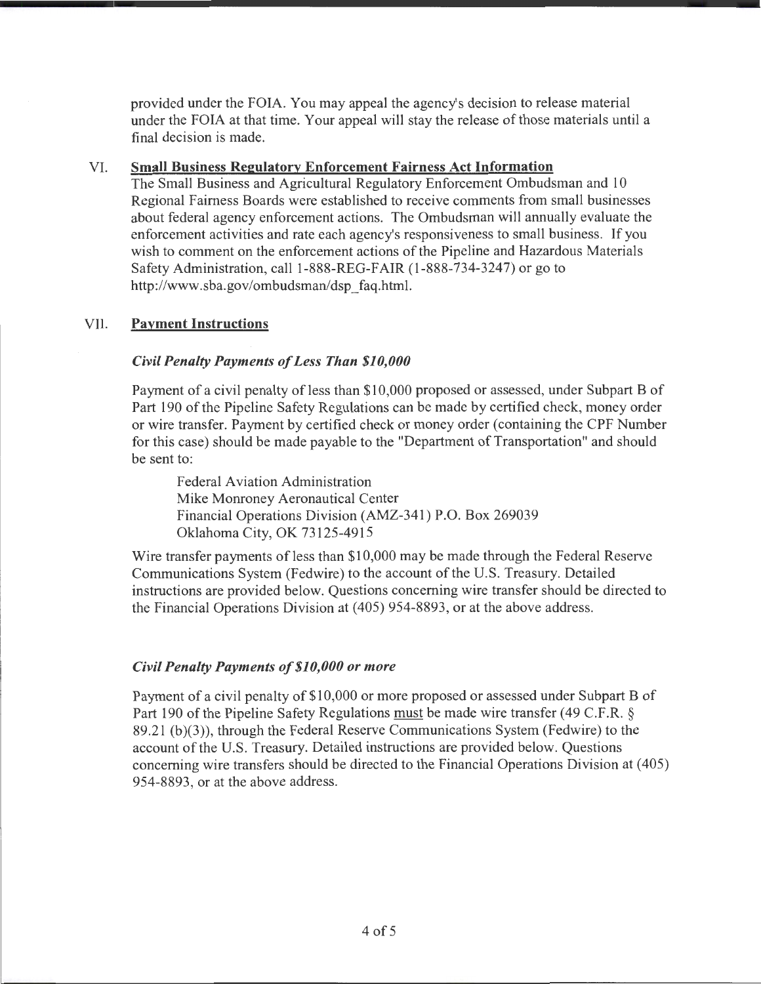provided under the FOIA. You may appeal the agency's decision to release material under the FOIA at that time. Your appeal will stay the release of those materials until a final decision is made.

# VI. Small Business Regulatory Enforcement Fairness Act Information

The Small Business and Agricultural Regulatory Enforcement Ombudsman and 10 Regional Fairness Boards were established to receive comments from small businesses about federal agency enforcement actions. The Ombudsman will annually evaluate the enforcement activities and rate each agency's responsiveness to small business. If you wish to comment on the enforcement actions of the Pipeline and Hazardous Materials Safety Administration, call 1-888-REG-FAIR (1-888-734-3247) or go to http://www.sba.gov/ombudsman/dsp\_faq.htrnl.

# VII. **Payment Instructions**

# *Civil Penalty Payments of Less Than \$10,000*

Payment of a civil penalty of less than \$10,000 proposed or assessed, under Subpart B of Part 190 of the Pipeline Safety Regulations can be made by certified check, money order or wire transfer. Payment by certified check or money order (containing the CPF Number for this case) should be made payable to the "Department of Transportation" and should be sent to:

Federal Aviation Administration Mike Monroney Aeronautical Center Financial Operations Division (AMZ-341) P.O. Box 269039 Oklahoma City, OK 73125-4915

Wire transfer payments of less than \$10,000 may be made through the Federal Reserve Communications System (Fedwire) to the account of the U.S. Treasury. Detailed instructions are provided below. Questions concerning wire transfer should be directed to the Financial Operations Division at ( 405) 954-8893, or at the above address.

# *Civil Penalty Payments of\$10,000 or more*

Payment of a civil penalty of \$10,000 or more proposed or assessed under Subpart B of Part 190 of the Pipeline Safety Regulations must be made wire transfer (49 C.F.R.  $\S$ ) 89.21 (b)(3)), through the Federal Reserve Communications System (Fedwire) to the account of the U.S. Treasury. Detailed instructions are provided below. Questions concerning wire transfers should be directed to the Financial Operations Division at ( 405) 954-8893, or at the above address.